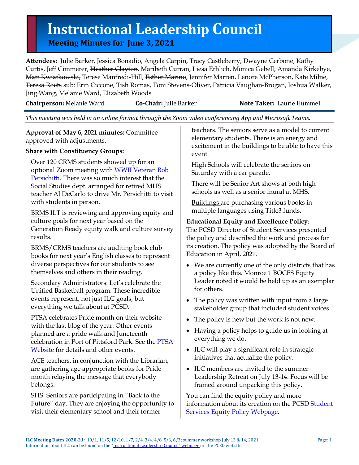# **Instructional Leadership Council Meeting Minutes for June 3, <sup>2021</sup>**

**Attendees:** Julie Barker, Jessica Bonadio, Angela Carpin, Tracy Castleberry, Dwayne Cerbone, Kathy Curtis, Jeff Cimmerer, <del>Heather Clayton</del>, Maribeth Curran, Liesa Erhlich, Monica Gebell, Amanda Kirkebye, Matt Kwiatkowski, Terese Manfredi-Hill, Esther Marino, Jennifer Marren, Lenore McPherson, Kate Milne, Teresa Roets sub: Erin Ciccone, Tish Romas, Toni Stevens-Oliver, Patricia Vaughan-Brogan, Joshua Walker, Jing Wang, Melanie Ward, Elizabeth Woods

**Chairperson:** Melanie Ward **Co-Chair:** Julie Barker **Note Taker:** Laurie Hummel

*This meeting was held in an online format through the Zoom video conferencing App and Microsoft Teams.*

**Approval of May 6, 2021 minutes:** Committee approved with adjustments.

## **Share with Constituency Groups:**

Over 120 CRMS students showed up for an optional Zoom meeting with WWII Veteran Bob [Persichitti.](https://www.pittsfordschools.org/site/default.aspx?PageType=3&ModuleInstanceID=59571&ViewID=7b97f7ed-8e5e-4120-848f-a8b4987d588f&RenderLoc=0&FlexDataID=125489&PageID=25776) There was so much interest that the Social Studies dept. arranged for retired MHS teacher Al DeCarlo to drive Mr. Persichitti to visit with students in person.

BRMS ILT is reviewing and approving equity and culture goals for next year based on the Generation Ready equity walk and culture survey results.

BRMS/CRMS teachers are auditing book club books for next year's English classes to represent diverse perspectives for our students to see themselves and others in their reading.

Secondary Administrators: Let's celebrate the Unified Basketball program. These incredible events represent, not just ILC goals, but everything we talk about at PCSD.

PTSA celebrates Pride month on their website with the last blog of the year. Other events planned are a pride walk and Juneteenth celebration in Port of Pittsford Park. See the [PTSA](https://www.pittsfordptsa.net/)  [Website](https://www.pittsfordptsa.net/) for details and other events.

ACE teachers, in conjunction with the Librarian, are gathering age appropriate books for Pride month relaying the message that everybody belongs.

SHS: Seniors are participating in "Back to the Future" day. They are enjoying the opportunity to visit their elementary school and their former

teachers. The seniors serve as a model to current elementary students. There is an energy and excitement in the buildings to be able to have this event.

High Schools will celebrate the seniors on Saturday with a car parade.

There will be Senior Art shows at both high schools as well as a senior mural at MHS.

Buildings are purchasing various books in multiple languages using Title3 funds.

## **Educational Equity and Excellence Policy**:

The PCSD Director of Student Services presented the policy and described the work and process for its creation. The policy was adopted by the Board of Education in April, 2021.

- We are currently one of the only districts that has a policy like this. Monroe 1 BOCES Equity Leader noted it would be held up as an exemplar for others.
- The policy was written with input from a large stakeholder group that included student voices.
- The policy is new but the work is not new.
- Having a policy helps to guide us in looking at everything we do.
- ILC will play a significant role in strategic initiatives that actualize the policy.
- ILC members are invited to the summer Leadership Retreat on July 13-14. Focus will be framed around unpacking this policy.

You can find the equity policy and more information about its creation on the PCSD Student [Services Equity Policy Webpage.](https://www.pittsfordschools.org/Page/25711)